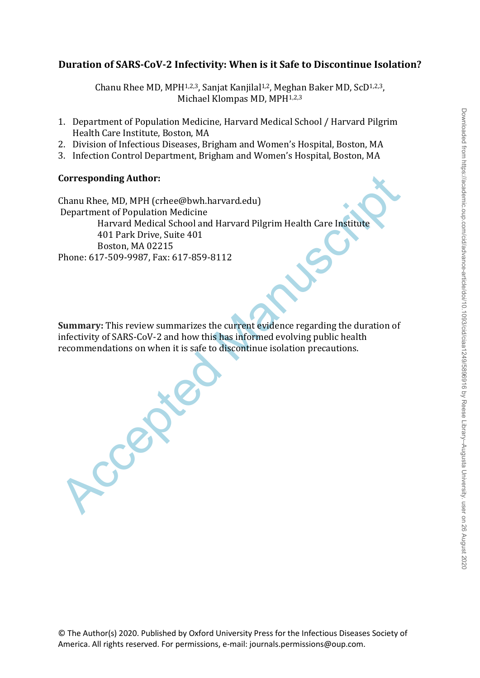# Downloaded from https://academic.oup.com/cid/advance-article/doi/10.1093/cid/ciaa1249/5896916 by Reese Library-Augusta University. user on 26 August 2020 Downloaded from https://academic.oup.com/cid/advance-article/doi/10.1093/cid/ciaa1249/5896916 by Reese Library--Augusta University. user on 26 August 2020

# **Duration of SARS-CoV-2 Infectivity: When is it Safe to Discontinue Isolation?**

Chanu Rhee MD, MPH<sup>1,2,3</sup>, Sanjat Kanjilal<sup>1,2</sup>, Meghan Baker MD, ScD<sup>1,2,3</sup>, Michael Klompas MD, MPH1,2,3

- 1. Department of Population Medicine, Harvard Medical School / Harvard Pilgrim Health Care Institute, Boston, MA
- 2. Division of Infectious Diseases, Brigham and Women's Hospital, Boston, MA
- 3. Infection Control Department, Brigham and Women's Hospital, Boston, MA

# **Corresponding Author:**

Corresponding Author:<br>
Chanu Rhee, MD, MPH (crhee@bwh.harvard.edu)<br>
Department of Population Medicine<br>
Harvard Medicine School and Harvard Pilgrim Health Care Institute<br>
401 Park Drive, Suite 401<br>
Boston, MA 02215<br>
Phone: Chanu Rhee, MD, MPH (crhee@bwh.harvard.edu) Department of Population Medicine Harvard Medical School and Harvard Pilgrim Health Care Institute 401 Park Drive, Suite 401 Boston, MA 02215 Phone: 617-509-9987, Fax: 617-859-8112

**Summary:** This review summarizes the current evidence regarding the duration of infectivity of SARS-CoV-2 and how this has informed evolving public health recommendations on when it is safe to discontinue isolation precautions.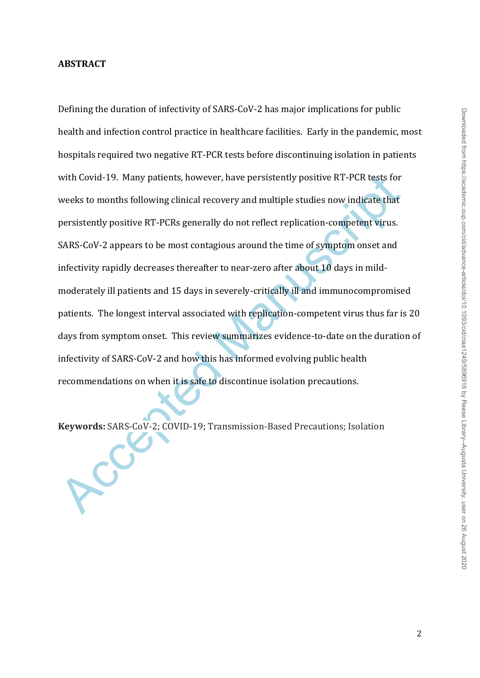## **ABSTRACT**

with Covid-19. Many patients, however, have persistently positive RT-PCR tests for<br>weeks to months following clinical recovery and multiple studies now indicate that<br>persistently positive RT-PCRs generally do not reflect r Defining the duration of infectivity of SARS-CoV-2 has major implications for public health and infection control practice in healthcare facilities. Early in the pandemic, most hospitals required two negative RT-PCR tests before discontinuing isolation in patients with Covid-19. Many patients, however, have persistently positive RT-PCR tests for weeks to months following clinical recovery and multiple studies now indicate that persistently positive RT-PCRs generally do not reflect replication-competent virus. SARS-CoV-2 appears to be most contagious around the time of symptom onset and infectivity rapidly decreases thereafter to near-zero after about 10 days in mildmoderately ill patients and 15 days in severely-critically ill and immunocompromised patients. The longest interval associated with replication-competent virus thus far is 20 days from symptom onset. This review summarizes evidence-to-date on the duration of infectivity of SARS-CoV-2 and how this has informed evolving public health recommendations on when it is safe to discontinue isolation precautions.

**Keywords:** SARS-CoV-2; COVID-19; Transmission-Based Precautions; Isolation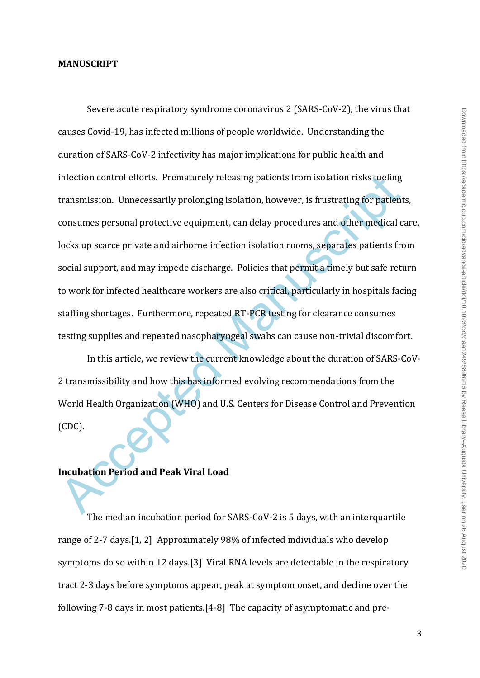### **MANUSCRIPT**

infection control efforts. Prematurely releasing patients from isolation risks fueling<br>transmission. Unnecessarily prolonging isolation, however, is frustrating for patient<br>consumes personal protective equipment, can delay Severe acute respiratory syndrome coronavirus 2 (SARS-CoV-2), the virus that causes Covid-19, has infected millions of people worldwide. Understanding the duration of SARS-CoV-2 infectivity has major implications for public health and infection control efforts. Prematurely releasing patients from isolation risks fueling transmission. Unnecessarily prolonging isolation, however, is frustrating for patients, consumes personal protective equipment, can delay procedures and other medical care, locks up scarce private and airborne infection isolation rooms, separates patients from social support, and may impede discharge. Policies that permit a timely but safe return to work for infected healthcare workers are also critical, particularly in hospitals facing staffing shortages. Furthermore, repeated RT-PCR testing for clearance consumes testing supplies and repeated nasopharyngeal swabs can cause non-trivial discomfort.

In this article, we review the current knowledge about the duration of SARS-CoV-2 transmissibility and how this has informed evolving recommendations from the World Health Organization (WHO) and U.S. Centers for Disease Control and Prevention (CDC).

# **Incubation Period and Peak Viral Load**

The median incubation period for SARS-CoV-2 is 5 days, with an interquartile range of 2-7 days.[1, 2] Approximately 98% of infected individuals who develop symptoms do so within 12 days.[3] Viral RNA levels are detectable in the respiratory tract 2-3 days before symptoms appear, peak at symptom onset, and decline over the following 7-8 days in most patients.[4-8] The capacity of asymptomatic and pre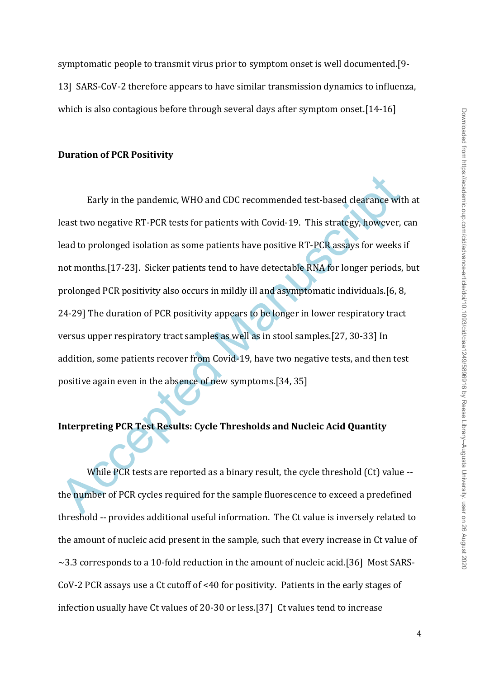symptomatic people to transmit virus prior to symptom onset is well documented.[9- 13] SARS-CoV-2 therefore appears to have similar transmission dynamics to influenza, which is also contagious before through several days after symptom onset.<sup>[14-16]</sup>

### **Duration of PCR Positivity**

Early in the pandemic, WHO and CDC recommended test-based clearance wit<br>least two negative RT-PCR tests for patients with Covid-19. This strategy, however,<br>lead to prolonged isolation as some patients have positive RT-PCR Early in the pandemic, WHO and CDC recommended test-based clearance with at least two negative RT-PCR tests for patients with Covid-19. This strategy, however, can lead to prolonged isolation as some patients have positive RT-PCR assays for weeks if not months.[17-23]. Sicker patients tend to have detectable RNA for longer periods, but prolonged PCR positivity also occurs in mildly ill and asymptomatic individuals.[6, 8, 24-29] The duration of PCR positivity appears to be longer in lower respiratory tract versus upper respiratory tract samples as well as in stool samples.[27, 30-33] In addition, some patients recover from Covid-19, have two negative tests, and then test positive again even in the absence of new symptoms.[34, 35]

# **Interpreting PCR Test Results: Cycle Thresholds and Nucleic Acid Quantity**

While PCR tests are reported as a binary result, the cycle threshold (Ct) value -the number of PCR cycles required for the sample fluorescence to exceed a predefined threshold -- provides additional useful information. The Ct value is inversely related to the amount of nucleic acid present in the sample, such that every increase in Ct value of  $\sim$ 3.3 corresponds to a 10-fold reduction in the amount of nucleic acid.[36] Most SARS-CoV-2 PCR assays use a Ct cutoff of <40 for positivity. Patients in the early stages of infection usually have Ct values of 20-30 or less.[37] Ct values tend to increase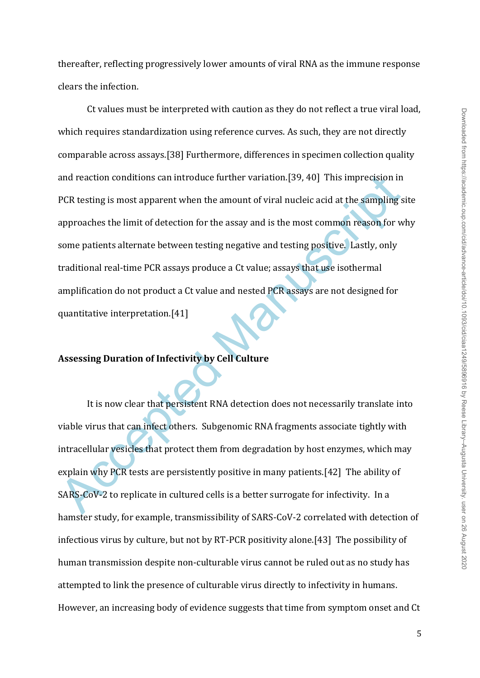thereafter, reflecting progressively lower amounts of viral RNA as the immune response clears the infection.

and reaction conditions can introduce further variation.[39, 40] This imprecision in<br>PCR testing is most apparent when the amount of viral nucleic acid at the sampling s<br>approaches the limit of detection for the assay and Ct values must be interpreted with caution as they do not reflect a true viral load, which requires standardization using reference curves. As such, they are not directly comparable across assays.[38] Furthermore, differences in specimen collection quality and reaction conditions can introduce further variation.[39, 40] This imprecision in PCR testing is most apparent when the amount of viral nucleic acid at the sampling site approaches the limit of detection for the assay and is the most common reason for why some patients alternate between testing negative and testing positive. Lastly, only traditional real-time PCR assays produce a Ct value; assays that use isothermal amplification do not product a Ct value and nested PCR assays are not designed for quantitative interpretation.[41]

# **Assessing Duration of Infectivity by Cell Culture**

It is now clear that persistent RNA detection does not necessarily translate into viable virus that can infect others. Subgenomic RNA fragments associate tightly with intracellular vesicles that protect them from degradation by host enzymes, which may explain why PCR tests are persistently positive in many patients.[42] The ability of SARS-CoV-2 to replicate in cultured cells is a better surrogate for infectivity. In a hamster study, for example, transmissibility of SARS-CoV-2 correlated with detection of infectious virus by culture, but not by RT-PCR positivity alone.[43] The possibility of human transmission despite non-culturable virus cannot be ruled out as no study has attempted to link the presence of culturable virus directly to infectivity in humans. However, an increasing body of evidence suggests that time from symptom onset and Ct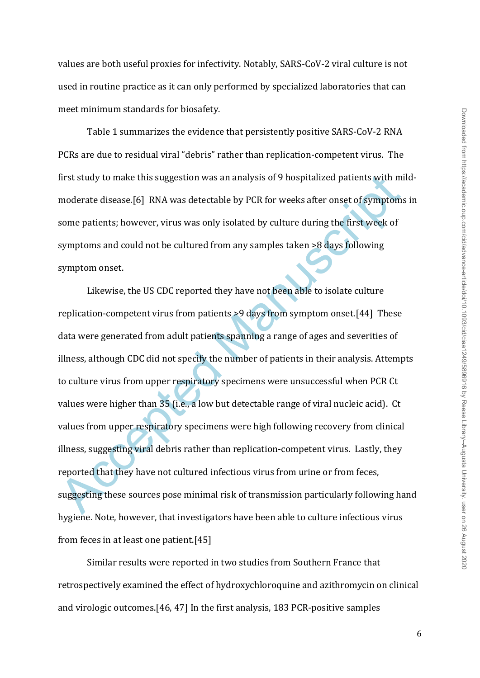values are both useful proxies for infectivity. Notably, SARS-CoV-2 viral culture is not used in routine practice as it can only performed by specialized laboratories that can meet minimum standards for biosafety.

Table 1 summarizes the evidence that persistently positive SARS-CoV-2 RNA PCRs are due to residual viral "debris" rather than replication-competent virus. The first study to make this suggestion was an analysis of 9 hospitalized patients with mildmoderate disease.[6] RNA was detectable by PCR for weeks after onset of symptoms in some patients; however, virus was only isolated by culture during the first week of symptoms and could not be cultured from any samples taken >8 days following symptom onset.

first study to make this suggestion was an analysis of 9 hospitalized patients with minoderate disease.[6] RNA was detectable by PCR for weeks after onset of symptoms some patients; however, virus was only isolated by cult Likewise, the US CDC reported they have not been able to isolate culture replication-competent virus from patients >9 days from symptom onset.[44] These data were generated from adult patients spanning a range of ages and severities of illness, although CDC did not specify the number of patients in their analysis. Attempts to culture virus from upper respiratory specimens were unsuccessful when PCR Ct values were higher than 35 (i.e., a low but detectable range of viral nucleic acid). Ct values from upper respiratory specimens were high following recovery from clinical illness, suggesting viral debris rather than replication-competent virus. Lastly, they reported that they have not cultured infectious virus from urine or from feces, suggesting these sources pose minimal risk of transmission particularly following hand hygiene. Note, however, that investigators have been able to culture infectious virus from feces in at least one patient.[45]

Similar results were reported in two studies from Southern France that retrospectively examined the effect of hydroxychloroquine and azithromycin on clinical and virologic outcomes.[46, 47] In the first analysis, 183 PCR-positive samples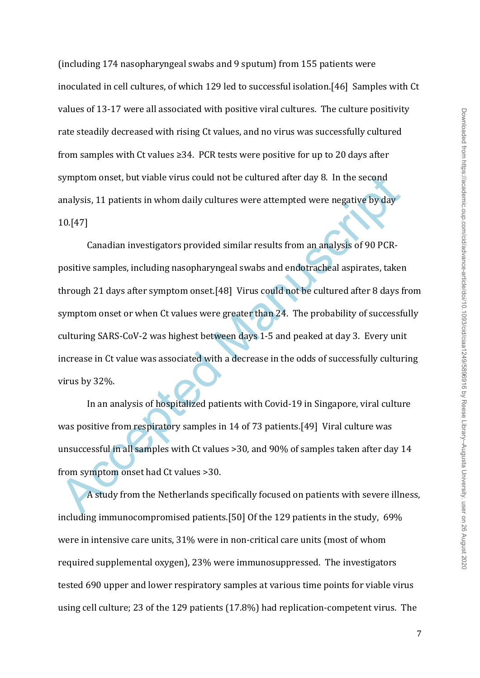(including 174 nasopharyngeal swabs and 9 sputum) from 155 patients were inoculated in cell cultures, of which 129 led to successful isolation.[46] Samples with Ct values of 13-17 were all associated with positive viral cultures. The culture positivity rate steadily decreased with rising Ct values, and no virus was successfully cultured from samples with Ct values ≥34. PCR tests were positive for up to 20 days after symptom onset, but viable virus could not be cultured after day 8. In the second analysis, 11 patients in whom daily cultures were attempted were negative by day 10.[47]

symptom onset, but viable virus could not be cultured after day 8. In the second<br>analysis, 11 patients in whom daily cultures were attempted were negative by day<br>10.[47]<br>Canadian investigators provided similar results from Canadian investigators provided similar results from an analysis of 90 PCRpositive samples, including nasopharyngeal swabs and endotracheal aspirates, taken through 21 days after symptom onset.[48] Virus could not be cultured after 8 days from symptom onset or when Ct values were greater than 24. The probability of successfully culturing SARS-CoV-2 was highest between days 1-5 and peaked at day 3. Every unit increase in Ct value was associated with a decrease in the odds of successfully culturing virus by 32%.

In an analysis of hospitalized patients with Covid-19 in Singapore, viral culture was positive from respiratory samples in 14 of 73 patients.[49] Viral culture was unsuccessful in all samples with Ct values >30, and 90% of samples taken after day 14 from symptom onset had Ct values >30.

A study from the Netherlands specifically focused on patients with severe illness, including immunocompromised patients.[50] Of the 129 patients in the study, 69% were in intensive care units, 31% were in non-critical care units (most of whom required supplemental oxygen), 23% were immunosuppressed. The investigators tested 690 upper and lower respiratory samples at various time points for viable virus using cell culture; 23 of the 129 patients (17.8%) had replication-competent virus. The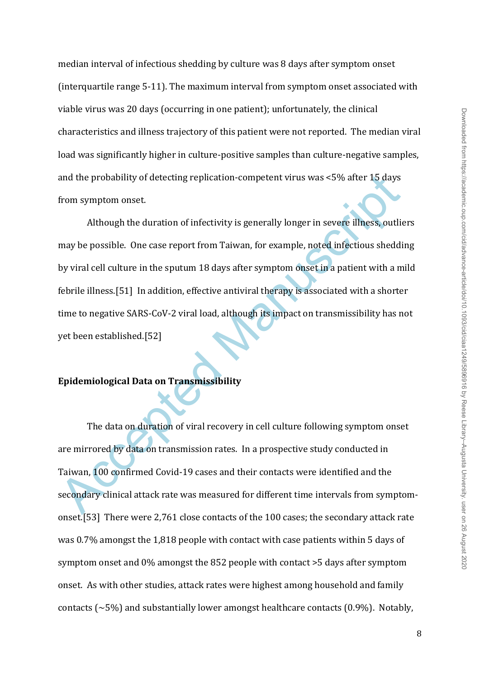median interval of infectious shedding by culture was 8 days after symptom onset (interquartile range 5-11). The maximum interval from symptom onset associated with viable virus was 20 days (occurring in one patient); unfortunately, the clinical characteristics and illness trajectory of this patient were not reported. The median viral load was significantly higher in culture-positive samples than culture-negative samples, and the probability of detecting replication-competent virus was <5% after 15 days from symptom onset.

and the probability of detecting replication-competent virus was <5% after 15 days<br>
from symptom onset.<br>
Although the duration of infectivity is generally longer in severe illness, outlie<br>
may be possible. One case report Although the duration of infectivity is generally longer in severe illness, outliers may be possible. One case report from Taiwan, for example, noted infectious shedding by viral cell culture in the sputum 18 days after symptom onset in a patient with a mild febrile illness.[51] In addition, effective antiviral therapy is associated with a shorter time to negative SARS-CoV-2 viral load, although its impact on transmissibility has not yet been established.[52]

# **Epidemiological Data on Transmissibility**

The data on duration of viral recovery in cell culture following symptom onset are mirrored by data on transmission rates. In a prospective study conducted in Taiwan, 100 confirmed Covid-19 cases and their contacts were identified and the secondary clinical attack rate was measured for different time intervals from symptomonset.[53] There were 2,761 close contacts of the 100 cases; the secondary attack rate was 0.7% amongst the 1,818 people with contact with case patients within 5 days of symptom onset and 0% amongst the 852 people with contact >5 days after symptom onset. As with other studies, attack rates were highest among household and family contacts ( $\sim$ 5%) and substantially lower amongst healthcare contacts (0.9%). Notably,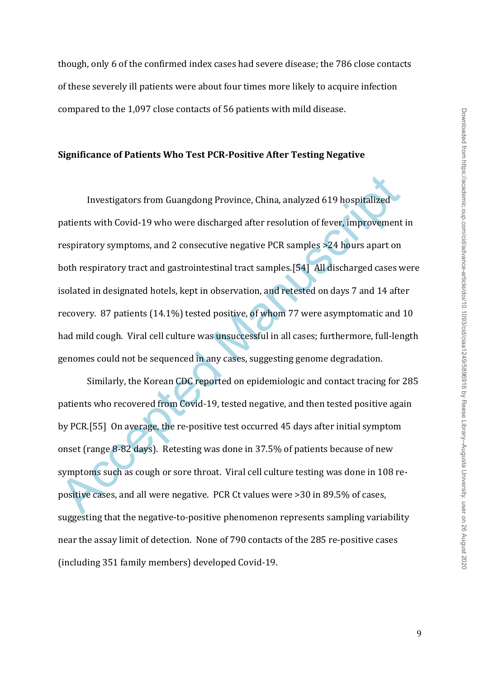though, only 6 of the confirmed index cases had severe disease; the 786 close contacts of these severely ill patients were about four times more likely to acquire infection compared to the 1,097 close contacts of 56 patients with mild disease.

### **Significance of Patients Who Test PCR-Positive After Testing Negative**

Investigators from Guangdong Province, China, analyzed 619 hospitalized<br>patients with Covid-19 who were discharged after resolution of fever, improvement<br>respiratory symptoms, and 2 consecutive negative PCR samples >24 hou Investigators from Guangdong Province, China, analyzed 619 hospitalized patients with Covid-19 who were discharged after resolution of fever, improvement in respiratory symptoms, and 2 consecutive negative PCR samples >24 hours apart on both respiratory tract and gastrointestinal tract samples.[54] All discharged cases were isolated in designated hotels, kept in observation, and retested on days 7 and 14 after recovery. 87 patients (14.1%) tested positive, of whom 77 were asymptomatic and 10 had mild cough. Viral cell culture was unsuccessful in all cases; furthermore, full-length genomes could not be sequenced in any cases, suggesting genome degradation.

Similarly, the Korean CDC reported on epidemiologic and contact tracing for 285 patients who recovered from Covid-19, tested negative, and then tested positive again by PCR.[55] On average, the re-positive test occurred 45 days after initial symptom onset (range 8-82 days). Retesting was done in 37.5% of patients because of new symptoms such as cough or sore throat. Viral cell culture testing was done in 108 repositive cases, and all were negative. PCR Ct values were >30 in 89.5% of cases, suggesting that the negative-to-positive phenomenon represents sampling variability near the assay limit of detection. None of 790 contacts of the 285 re-positive cases (including 351 family members) developed Covid-19.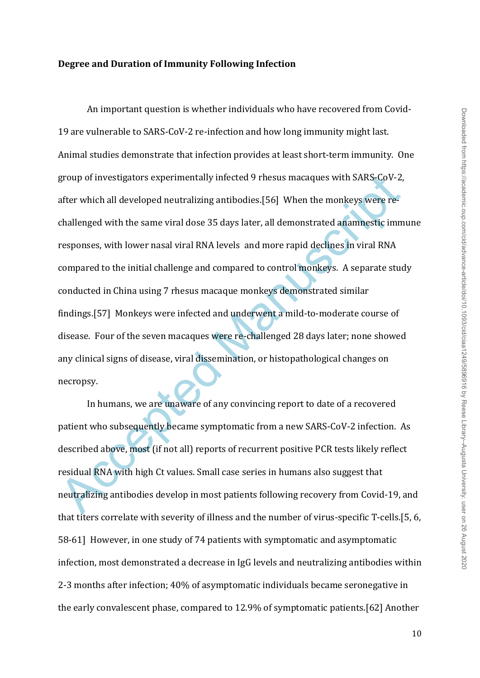## **Degree and Duration of Immunity Following Infection**

group of investigators experimentally infected 9 rhesus macaques with SARS-CoV-2,<br>after which all developed neutralizing antibodies.[56] When the monkeys were re-<br>challenged with the same viral dose 35 days later, all demo An important question is whether individuals who have recovered from Covid-19 are vulnerable to SARS-CoV-2 re-infection and how long immunity might last. Animal studies demonstrate that infection provides at least short-term immunity. One group of investigators experimentally infected 9 rhesus macaques with SARS-CoV-2, after which all developed neutralizing antibodies.[56] When the monkeys were rechallenged with the same viral dose 35 days later, all demonstrated anamnestic immune responses, with lower nasal viral RNA levels and more rapid declines in viral RNA compared to the initial challenge and compared to control monkeys. A separate study conducted in China using 7 rhesus macaque monkeys demonstrated similar findings.[57] Monkeys were infected and underwent a mild-to-moderate course of disease. Four of the seven macaques were re-challenged 28 days later; none showed any clinical signs of disease, viral dissemination, or histopathological changes on necropsy.

In humans, we are unaware of any convincing report to date of a recovered patient who subsequently became symptomatic from a new SARS-CoV-2 infection. As described above, most (if not all) reports of recurrent positive PCR tests likely reflect residual RNA with high Ct values. Small case series in humans also suggest that neutralizing antibodies develop in most patients following recovery from Covid-19, and that titers correlate with severity of illness and the number of virus-specific T-cells.[5, 6, 58-61] However, in one study of 74 patients with symptomatic and asymptomatic infection, most demonstrated a decrease in IgG levels and neutralizing antibodies within 2-3 months after infection; 40% of asymptomatic individuals became seronegative in the early convalescent phase, compared to 12.9% of symptomatic patients.[62] Another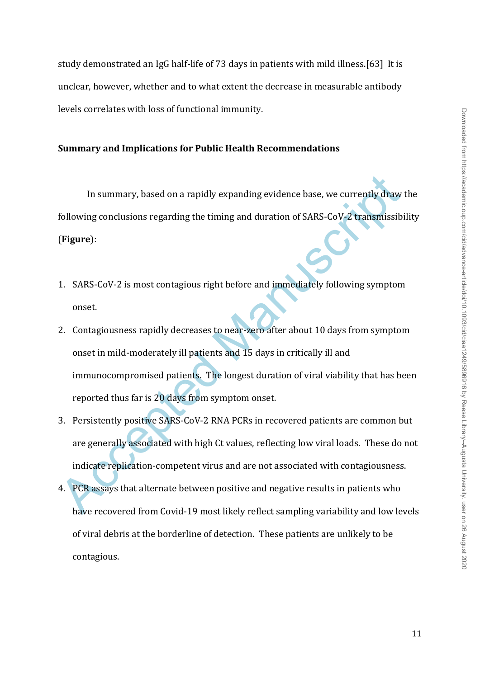study demonstrated an IgG half-life of 73 days in patients with mild illness.[63] It is unclear, however, whether and to what extent the decrease in measurable antibody levels correlates with loss of functional immunity.

### **Summary and Implications for Public Health Recommendations**

In summary, based on a rapidly expanding evidence base, we currently draw the following conclusions regarding the timing and duration of SARS-CoV-2 transmissibility (**Figure**):

- 1. SARS-CoV-2 is most contagious right before and immediately following symptom onset.
- In summary, based on a rapidly expanding evidence base, we currently draw<br>following conclusions regarding the timing and duration of SARS-CoV-2 transmissible<br>(Figure):<br>1. SARS-CoV-2 is most contagious right before and imme 2. Contagiousness rapidly decreases to near-zero after about 10 days from symptom onset in mild-moderately ill patients and 15 days in critically ill and immunocompromised patients. The longest duration of viral viability that has been reported thus far is 20 days from symptom onset.
- 3. Persistently positive SARS-CoV-2 RNA PCRs in recovered patients are common but are generally associated with high Ct values, reflecting low viral loads. These do not indicate replication-competent virus and are not associated with contagiousness.
- 4. PCR assays that alternate between positive and negative results in patients who have recovered from Covid-19 most likely reflect sampling variability and low levels of viral debris at the borderline of detection. These patients are unlikely to be contagious.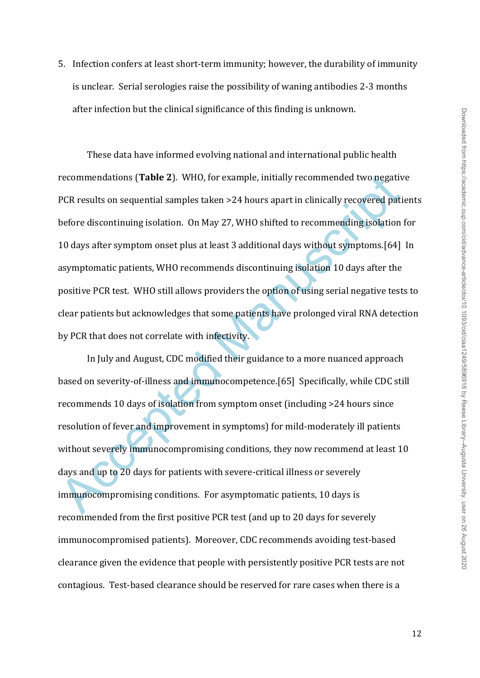5. Infection confers at least short-term immunity; however, the durability of immunity is unclear. Serial serologies raise the possibility of waning antibodies 2-3 months after infection but the clinical significance of this finding is unknown.

recommendations (**Table 2**). WHO, for example, initially recommended two negativ<br>PCR results on sequential samples taken >24 hours apart in clinically recovered patit<br>before discontinuing isolation. On May 27, WHO shifted These data have informed evolving national and international public health recommendations (**Table 2**). WHO, for example, initially recommended two negative PCR results on sequential samples taken >24 hours apart in clinically recovered patients before discontinuing isolation. On May 27, WHO shifted to recommending isolation for 10 days after symptom onset plus at least 3 additional days without symptoms.[64] In asymptomatic patients, WHO recommends discontinuing isolation 10 days after the positive PCR test. WHO still allows providers the option of using serial negative tests to clear patients but acknowledges that some patients have prolonged viral RNA detection by PCR that does not correlate with infectivity.

In July and August, CDC modified their guidance to a more nuanced approach based on severity-of-illness and immunocompetence.[65] Specifically, while CDC still recommends 10 days of isolation from symptom onset (including >24 hours since resolution of fever and improvement in symptoms) for mild-moderately ill patients without severely immunocompromising conditions, they now recommend at least 10 days and up to 20 days for patients with severe-critical illness or severely immunocompromising conditions. For asymptomatic patients, 10 days is recommended from the first positive PCR test (and up to 20 days for severely immunocompromised patients). Moreover, CDC recommends avoiding test-based clearance given the evidence that people with persistently positive PCR tests are not contagious. Test-based clearance should be reserved for rare cases when there is a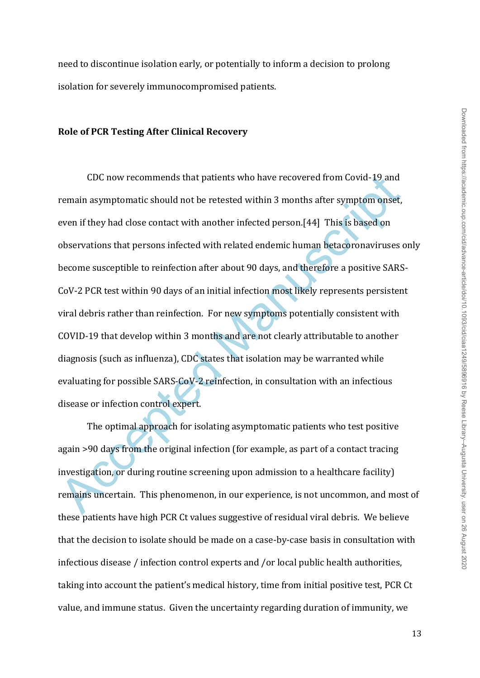need to discontinue isolation early, or potentially to inform a decision to prolong isolation for severely immunocompromised patients.

### **Role of PCR Testing After Clinical Recovery**

CDC now recommends that patients who have recovered from Covid-19 and<br>
remain asymptomatic should not be retested within 3 months after symptom onset,<br>
even if they had close contact with another infected person.[44] This CDC now recommends that patients who have recovered from Covid-19 and remain asymptomatic should not be retested within 3 months after symptom onset, even if they had close contact with another infected person.[44] This is based on observations that persons infected with related endemic human betacoronaviruses only become susceptible to reinfection after about 90 days, and therefore a positive SARS-CoV-2 PCR test within 90 days of an initial infection most likely represents persistent viral debris rather than reinfection. For new symptoms potentially consistent with COVID-19 that develop within 3 months and are not clearly attributable to another diagnosis (such as influenza), CDC states that isolation may be warranted while evaluating for possible SARS-CoV-2 reinfection, in consultation with an infectious disease or infection control expert.

The optimal approach for isolating asymptomatic patients who test positive again >90 days from the original infection (for example, as part of a contact tracing investigation, or during routine screening upon admission to a healthcare facility) remains uncertain. This phenomenon, in our experience, is not uncommon, and most of these patients have high PCR Ct values suggestive of residual viral debris. We believe that the decision to isolate should be made on a case-by-case basis in consultation with infectious disease / infection control experts and /or local public health authorities, taking into account the patient's medical history, time from initial positive test, PCR Ct value, and immune status. Given the uncertainty regarding duration of immunity, we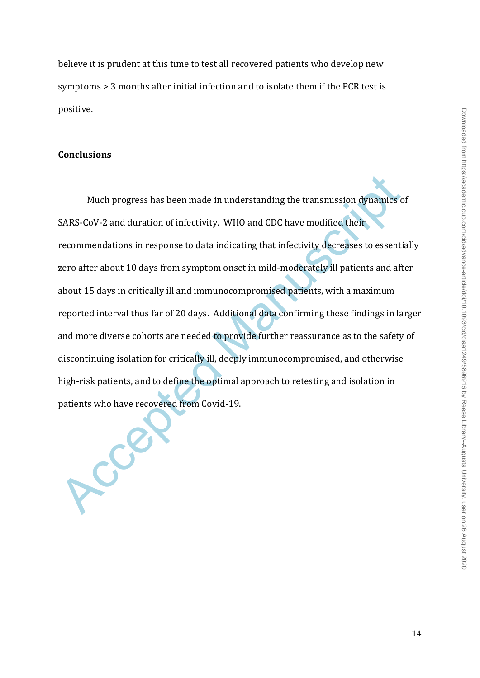believe it is prudent at this time to test all recovered patients who develop new symptoms > 3 months after initial infection and to isolate them if the PCR test is positive.

# **Conclusions**

Much progress has been made in understanding the transmission dynamics of SARS-CoV-2 and duration of infectivity. WHO and CDC have modified their recommendations in response to data indicating that infectivity decreases to Much progress has been made in understanding the transmission dynamics of SARS-CoV-2 and duration of infectivity. WHO and CDC have modified their recommendations in response to data indicating that infectivity decreases to essentially zero after about 10 days from symptom onset in mild-moderately ill patients and after about 15 days in critically ill and immunocompromised patients, with a maximum reported interval thus far of 20 days. Additional data confirming these findings in larger and more diverse cohorts are needed to provide further reassurance as to the safety of discontinuing isolation for critically ill, deeply immunocompromised, and otherwise high-risk patients, and to define the optimal approach to retesting and isolation in patients who have recovered from Covid-19.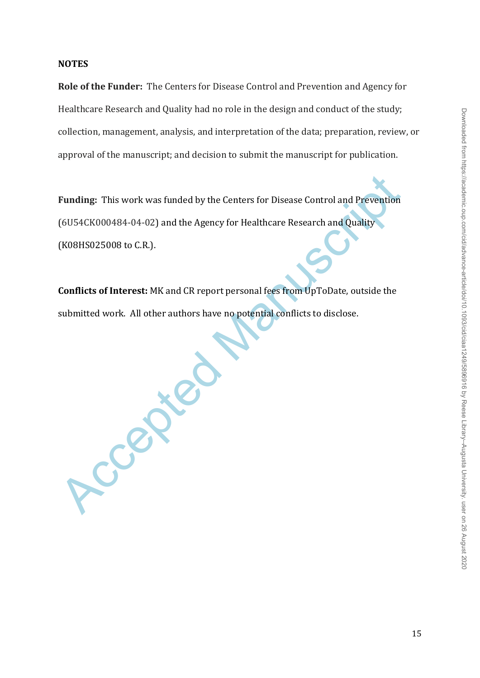### **NOTES**

**Role of the Funder:** The Centers for Disease Control and Prevention and Agency for Healthcare Research and Quality had no role in the design and conduct of the study; collection, management, analysis, and interpretation of the data; preparation, review, or approval of the manuscript; and decision to submit the manuscript for publication.

Funding: This work was funded by the Centers for Disease Control and Prevention<br>(6U54CK000484-04-02) and the Agency for Healthcare Research and Quality<br>(K08HS025008 to C.R.).<br>**Conflicts of Interest:** MK and CR report perso **Funding:** This work was funded by the Centers for Disease Control and Prevention (6U54CK000484-04-02) and the Agency for Healthcare Research and Quality (K08HS025008 to C.R.).

**Conflicts of Interest:** MK and CR report personal fees from UpToDate, outside the submitted work. All other authors have no potential conflicts to disclose.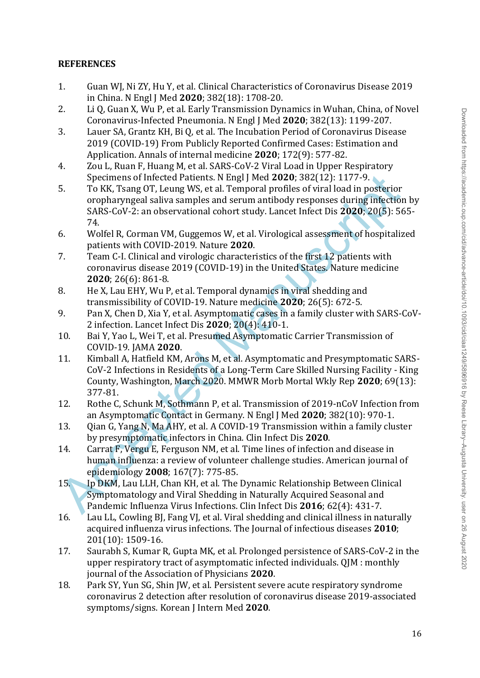# **REFERENCES**

- 1. Guan WJ, Ni ZY, Hu Y, et al. Clinical Characteristics of Coronavirus Disease 2019 in China. N Engl J Med **2020**; 382(18): 1708-20.
- 2. Li Q, Guan X, Wu P, et al. Early Transmission Dynamics in Wuhan, China, of Novel Coronavirus-Infected Pneumonia. N Engl J Med **2020**; 382(13): 1199-207.
- 3. Lauer SA, Grantz KH, Bi Q, et al. The Incubation Period of Coronavirus Disease 2019 (COVID-19) From Publicly Reported Confirmed Cases: Estimation and Application. Annals of internal medicine **2020**; 172(9): 577-82.
- 4. Zou L, Ruan F, Huang M, et al. SARS-CoV-2 Viral Load in Upper Respiratory Specimens of Infected Patients. N Engl J Med **2020**; 382(12): 1177-9.
- Specimens of Infected Patients. N Engl J Med 2020, 382(12): 1177-9.<br>
To KK, Tsang OT, Leung WS, et al. Temporal proference oropharyngeal saliva samples and servan antibody responses during infectior<br>
SARS-CoV-2: an observa 5. To KK, Tsang OT, Leung WS, et al. Temporal profiles of viral load in posterior oropharyngeal saliva samples and serum antibody responses during infection by SARS-CoV-2: an observational cohort study. Lancet Infect Dis **2020**; 20(5): 565- 74. Internative Corean Med Little Sins. Korean J Internation Persistens. The context of the corean Solvential Distance-<br>2019 (CoVID-14) From Publicly Reported Commented from anomic masses<br>2019 (CoVID-14) From Publicly Reporte
- 6. Wolfel R, Corman VM, Guggemos W, et al. Virological assessment of hospitalized patients with COVID-2019. Nature **2020**.
- 7. Team C-I. Clinical and virologic characteristics of the first 12 patients with coronavirus disease 2019 (COVID-19) in the United States. Nature medicine **2020**; 26(6): 861-8.
- 8. He X, Lau EHY, Wu P, et al. Temporal dynamics in viral shedding and transmissibility of COVID-19. Nature medicine **2020**; 26(5): 672-5.
- 9. Pan X, Chen D, Xia Y, et al. Asymptomatic cases in a family cluster with SARS-CoV-2 infection. Lancet Infect Dis **2020**; 20(4): 410-1.
- 10. Bai Y, Yao L, Wei T, et al. Presumed Asymptomatic Carrier Transmission of COVID-19. JAMA **2020**.
- 11. Kimball A, Hatfield KM, Arons M, et al. Asymptomatic and Presymptomatic SARS-CoV-2 Infections in Residents of a Long-Term Care Skilled Nursing Facility - King County, Washington, March 2020. MMWR Morb Mortal Wkly Rep **2020**; 69(13): 377-81.
- 12. Rothe C, Schunk M, Sothmann P, et al. Transmission of 2019-nCoV Infection from an Asymptomatic Contact in Germany. N Engl J Med **2020**; 382(10): 970-1.
- 13. Qian G, Yang N, Ma AHY, et al. A COVID-19 Transmission within a family cluster by presymptomatic infectors in China. Clin Infect Dis **2020**.
- 14. Carrat F, Vergu E, Ferguson NM, et al. Time lines of infection and disease in human influenza: a review of volunteer challenge studies. American journal of epidemiology **2008**; 167(7): 775-85.
- 15. Ip DKM, Lau LLH, Chan KH, et al. The Dynamic Relationship Between Clinical Symptomatology and Viral Shedding in Naturally Acquired Seasonal and Pandemic Influenza Virus Infections. Clin Infect Dis **2016**; 62(4): 431-7.
- 16. Lau LL, Cowling BJ, Fang VJ, et al. Viral shedding and clinical illness in naturally acquired influenza virus infections. The Journal of infectious diseases **2010**; 201(10): 1509-16.
- 17. Saurabh S, Kumar R, Gupta MK, et al. Prolonged persistence of SARS-CoV-2 in the upper respiratory tract of asymptomatic infected individuals. QJM : monthly journal of the Association of Physicians **2020**.
- 18. Park SY, Yun SG, Shin JW, et al. Persistent severe acute respiratory syndrome coronavirus 2 detection after resolution of coronavirus disease 2019-associated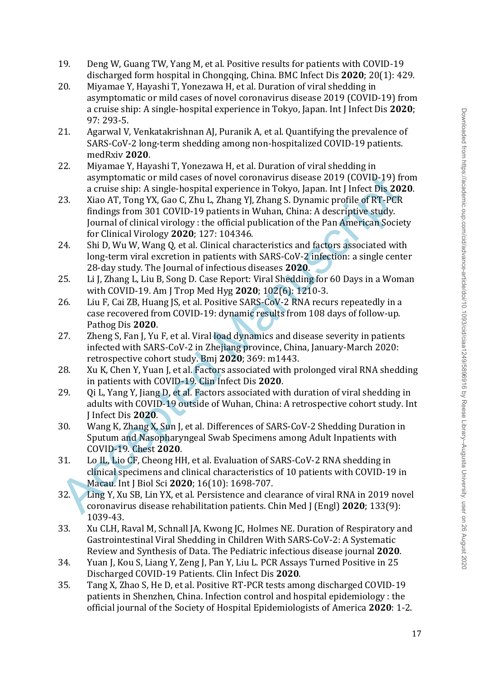- 19. Deng W, Guang TW, Yang M, et al. Positive results for patients with COVID-19 discharged form hospital in Chongqing, China. BMC Infect Dis **2020**; 20(1): 429.
- 20. Miyamae Y, Hayashi T, Yonezawa H, et al. Duration of viral shedding in asymptomatic or mild cases of novel coronavirus disease 2019 (COVID-19) from a cruise ship: A single-hospital experience in Tokyo, Japan. Int J Infect Dis **2020**; 97: 293-5.
- 21. Agarwal V, Venkatakrishnan AJ, Puranik A, et al. Quantifying the prevalence of SARS-CoV-2 long-term shedding among non-hospitalized COVID-19 patients. medRxiv **2020**.
- 22. Miyamae Y, Hayashi T, Yonezawa H, et al. Duration of viral shedding in asymptomatic or mild cases of novel coronavirus disease 2019 (COVID-19) from a cruise ship: A single-hospital experience in Tokyo, Japan. Int J Infect Dis **2020**.
- asymptomatic or mild cases of novel coronavirus disease 2019 (COVID-19).<br>
213 a cruise ship: A single-hospital experience in Tokyo, Japan. Int Jinfeed Disease Theoretical propositions and COVID-19 patentis in Wuhan, China: 23. Xiao AT, Tong YX, Gao C, Zhu L, Zhang YJ, Zhang S. Dynamic profile of RT-PCR findings from 301 COVID-19 patients in Wuhan, China: A descriptive study. Journal of clinical virology : the official publication of the Pan American Society for Clinical Virology **2020**; 127: 104346.
- 24. Shi D, Wu W, Wang Q, et al. Clinical characteristics and factors associated with long-term viral excretion in patients with SARS-CoV-2 infection: a single center 28-day study. The Journal of infectious diseases **2020**.
- 25. Li J, Zhang L, Liu B, Song D. Case Report: Viral Shedding for 60 Days in a Woman with COVID-19. Am J Trop Med Hyg **2020**; 102(6): 1210-3.
- 26. Liu F, Cai ZB, Huang JS, et al. Positive SARS-CoV-2 RNA recurs repeatedly in a case recovered from COVID-19: dynamic results from 108 days of follow-up. Pathog Dis **2020**.
- 27. Zheng S, Fan J, Yu F, et al. Viral load dynamics and disease severity in patients infected with SARS-CoV-2 in Zhejiang province, China, January-March 2020: retrospective cohort study. Bmj **2020**; 369: m1443.
- 28. Xu K, Chen Y, Yuan J, et al. Factors associated with prolonged viral RNA shedding in patients with COVID-19. Clin Infect Dis **2020**.
- 29. Oi L, Yang Y, Jiang D, et al. Factors associated with duration of viral shedding in adults with COVID-19 outside of Wuhan, China: A retrospective cohort study. Int J Infect Dis **2020**.
- 30. Wang K, Zhang X, Sun J, et al. Differences of SARS-CoV-2 Shedding Duration in Sputum and Nasopharyngeal Swab Specimens among Adult Inpatients with COVID-19. Chest **2020**.
- 31. Lo IL, Lio CF, Cheong HH, et al. Evaluation of SARS-CoV-2 RNA shedding in clinical specimens and clinical characteristics of 10 patients with COVID-19 in Macau. Int J Biol Sci **2020**; 16(10): 1698-707.
- 32. Ling Y, Xu SB, Lin YX, et al. Persistence and clearance of viral RNA in 2019 novel coronavirus disease rehabilitation patients. Chin Med J (Engl) **2020**; 133(9): 1039-43.
- 33. Xu CLH, Raval M, Schnall JA, Kwong JC, Holmes NE. Duration of Respiratory and Gastrointestinal Viral Shedding in Children With SARS-CoV-2: A Systematic Review and Synthesis of Data. The Pediatric infectious disease journal **2020**.
- 34. Yuan J, Kou S, Liang Y, Zeng J, Pan Y, Liu L. PCR Assays Turned Positive in 25 Discharged COVID-19 Patients. Clin Infect Dis **2020**.
- 35. Tang X, Zhao S, He D, et al. Positive RT-PCR tests among discharged COVID-19 patients in Shenzhen, China. Infection control and hospital epidemiology : the official journal of the Society of Hospital Epidemiologists of America **2020**: 1-2.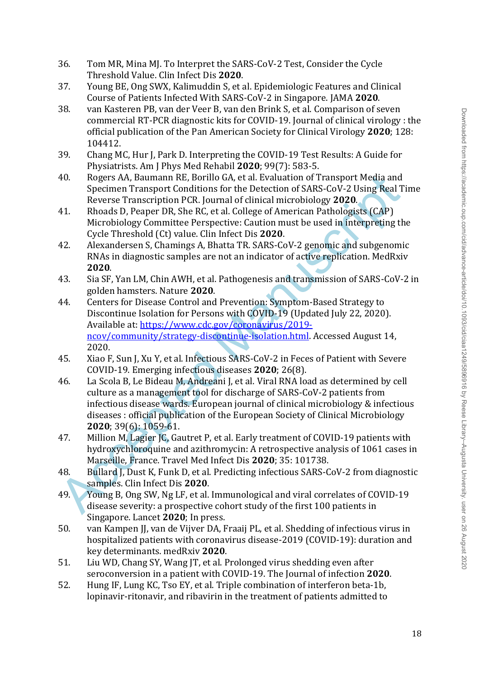- 36. Tom MR, Mina MJ. To Interpret the SARS-CoV-2 Test, Consider the Cycle Threshold Value. Clin Infect Dis **2020**.
- 37. Young BE, Ong SWX, Kalimuddin S, et al. Epidemiologic Features and Clinical Course of Patients Infected With SARS-CoV-2 in Singapore. JAMA **2020**.
- 38. van Kasteren PB, van der Veer B, van den Brink S, et al. Comparison of seven commercial RT-PCR diagnostic kits for COVID-19. Journal of clinical virology : the official publication of the Pan American Society for Clinical Virology **2020**; 128: 104412.
- 39. Chang MC, Hur J, Park D. Interpreting the COVID-19 Test Results: A Guide for Physiatrists. Am J Phys Med Rehabil **2020**; 99(7): 583-5.
- 40. Rogers AA, Baumann RE, Borillo GA, et al. Evaluation of Transport Media and Specimen Transport Conditions for the Detection of SARS-CoV-2 Using Real Time Reverse Transcription PCR. Journal of clinical microbiology **2020**.
- 41. Rhoads D, Peaper DR, She RC, et al. College of American Pathologists (CAP) Microbiology Committee Perspective: Caution must be used in interpreting the Cycle Threshold (Ct) value. Clin Infect Dis **2020**.
- 42. Alexandersen S, Chamings A, Bhatta TR. SARS-CoV-2 genomic and subgenomic RNAs in diagnostic samples are not an indicator of active replication. MedRxiv **2020**.
- 43. Sia SF, Yan LM, Chin AWH, et al. Pathogenesis and transmission of SARS-CoV-2 in golden hamsters. Nature **2020**.
- 44. Centers for Disease Control and Prevention: Symptom-Based Strategy to Discontinue Isolation for Persons with COVID-19 (Updated July 22, 2020). Available at: https://www.cdc.gov/coronavirus/2019 ncov/community/strategy-discontinue-isolation.html. Accessed August 14, 2020.
- 45. Xiao F, Sun J, Xu Y, et al. Infectious SARS-CoV-2 in Feces of Patient with Severe COVID-19. Emerging infectious diseases **2020**; 26(8).
- 40. Rogers AA, Baumann RF, Borillo GA, et al. Evaluation of Transport Media and<br>
Specimen Transport Conditions for the Detection of SARS-CoV-2 Using Real T<br>
Reverse Transcription PCR, lournal of clinical microbiology 2020 46. La Scola B, Le Bideau M, Andreani J, et al. Viral RNA load as determined by cell culture as a management tool for discharge of SARS-CoV-2 patients from infectious disease wards. European journal of clinical microbiology & infectious diseases : official publication of the European Society of Clinical Microbiology **2020**; 39(6): 1059-61.
- 47. Million M, Lagier JC, Gautret P, et al. Early treatment of COVID-19 patients with hydroxychloroquine and azithromycin: A retrospective analysis of 1061 cases in Marseille, France. Travel Med Infect Dis **2020**; 35: 101738.
- 48. Bullard J, Dust K, Funk D, et al. Predicting infectious SARS-CoV-2 from diagnostic samples. Clin Infect Dis **2020**.
- 49. Young B, Ong SW, Ng LF, et al. Immunological and viral correlates of COVID-19 disease severity: a prospective cohort study of the first 100 patients in Singapore. Lancet **2020**; In press.
- 50. van Kampen JJ, van de Vijver DA, Fraaij PL, et al. Shedding of infectious virus in hospitalized patients with coronavirus disease-2019 (COVID-19): duration and key determinants. medRxiv **2020**.
- 51. Liu WD, Chang SY, Wang JT, et al. Prolonged virus shedding even after seroconversion in a patient with COVID-19. The Journal of infection **2020**.
- 52. Hung IF, Lung KC, Tso EY, et al. Triple combination of interferon beta-1b, lopinavir-ritonavir, and ribavirin in the treatment of patients admitted to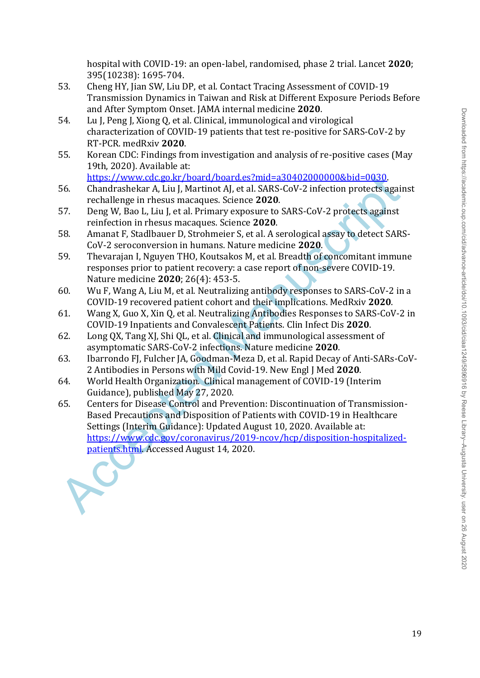hospital with COVID-19: an open-label, randomised, phase 2 trial. Lancet **2020**; 395(10238): 1695-704.

- 53. Cheng HY, Jian SW, Liu DP, et al. Contact Tracing Assessment of COVID-19 Transmission Dynamics in Taiwan and Risk at Different Exposure Periods Before and After Symptom Onset. JAMA internal medicine **2020**.
- 54. Lu J, Peng J, Xiong Q, et al. Clinical, immunological and virological characterization of COVID-19 patients that test re-positive for SARS-CoV-2 by RT-PCR. medRxiv **2020**.
- 55. Korean CDC: Findings from investigation and analysis of re-positive cases (May 19th, 2020). Available at:
	- https://www.cdc.go.kr/board/board.es?mid=a30402000000&bid=0030.
- 56. Chandrashekar A, Liu J, Martinot AJ, et al. SARS-CoV-2 infection protects against rechallenge in rhesus macaques. Science **2020**.
- 57. Deng W, Bao L, Liu J, et al. Primary exposure to SARS-CoV-2 protects against reinfection in rhesus macaques. Science **2020**.
- 58. Amanat F, Stadlbauer D, Strohmeier S, et al. A serological assay to detect SARS-CoV-2 seroconversion in humans. Nature medicine **2020**.
- 59. Thevarajan I, Nguyen THO, Koutsakos M, et al. Breadth of concomitant immune responses prior to patient recovery: a case report of non-severe COVID-19. Nature medicine **2020**; 26(4): 453-5.
- 60. Wu F, Wang A, Liu M, et al. Neutralizing antibody responses to SARS-CoV-2 in a COVID-19 recovered patient cohort and their implications. MedRxiv **2020**.
- 61. Wang X, Guo X, Xin Q, et al. Neutralizing Antibodies Responses to SARS-CoV-2 in COVID-19 Inpatients and Convalescent Patients. Clin Infect Dis **2020**.
- 62. Long QX, Tang XJ, Shi QL, et al. Clinical and immunological assessment of asymptomatic SARS-CoV-2 infections. Nature medicine **2020**.
- 63. Ibarrondo FJ, Fulcher JA, Goodman-Meza D, et al. Rapid Decay of Anti-SARs-CoV-2 Antibodies in Persons with Mild Covid-19. New Engl J Med **2020**.
- 64. World Health Organization. Clinical management of COVID-19 (Interim Guidance), published May 27, 2020.
- h[t](https://www.cdc.go.kr/board/board.es?mid=a30402000000&bid=0030)tps://www.cdc.go.kr/board.es2mid=a304020000008hid=0030.<br>
56. Chardrashekar A, kiu J, Martinot AJ, et al. SARS-GOV-2 infection protects again<br>
rechallenge in rhesus macaques. Science 2020.<br>
S7. Deng W, Bio L, Liu J, et al 65. Centers for Disease Control and Prevention: Discontinuation of Transmission-Based Precautions and Disposition of Patients with COVID-19 in Healthcare Settings (Interim Guidance): Updated August 10, 2020. Available at: https://www.cdc.gov/coronavirus/2019-ncov/hcp/disposition-hospitalizedpatients.html. Accessed August 14, 2020.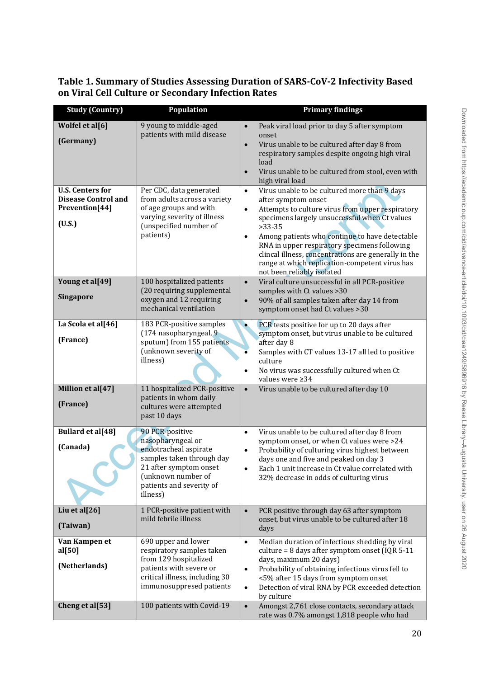**Table 1. Summary of Studies Assessing Duration of SARS-CoV-2 Infectivity Based on Viral Cell Culture or Secondary Infection Rates**

| <b>Study (Country)</b>                                                                | Population                                                                                                                                                                         | <b>Primary findings</b>                                                                                                                                                                                                                                                                                                                                                           |
|---------------------------------------------------------------------------------------|------------------------------------------------------------------------------------------------------------------------------------------------------------------------------------|-----------------------------------------------------------------------------------------------------------------------------------------------------------------------------------------------------------------------------------------------------------------------------------------------------------------------------------------------------------------------------------|
| Wolfel et al[6]<br>(Germany)<br><b>U.S. Centers for</b><br><b>Disease Control and</b> | 9 young to middle-aged<br>patients with mild disease<br>Per CDC, data generated<br>from adults across a variety                                                                    | Peak viral load prior to day 5 after symptom<br>$\bullet$<br>onset<br>Virus unable to be cultured after day 8 from<br>$\bullet$<br>respiratory samples despite ongoing high viral<br>load<br>Virus unable to be cultured from stool, even with<br>high viral load<br>Virus unable to be cultured more than 9 days<br>$\bullet$<br>after symptom onset                             |
| Prevention[44]<br>(U.S.)                                                              | of age groups and with<br>varying severity of illness<br>(unspecified number of<br>patients)                                                                                       | Attempts to culture virus from upper respiratory<br>$\bullet$<br>specimens largely unsuccessful when Ct values<br>$>33-35$<br>Among patients who continue to have detectable<br>$\bullet$<br>RNA in upper respiratory specimens following<br>clincal illness, concentrations are generally in the<br>range at which replication-competent virus has<br>not been reliably isolated |
| Young et al[49]<br><b>Singapore</b>                                                   | 100 hospitalized patients<br>(20 requiring supplemental<br>oxygen and 12 requiring<br>mechanical ventilation                                                                       | Viral culture unsuccessful in all PCR-positive<br>$\bullet$<br>samples with Ct values > 30<br>90% of all samples taken after day 14 from<br>symptom onset had Ct values > 30                                                                                                                                                                                                      |
| La Scola et al[46]<br>(France)<br>Million et al[47]                                   | 183 PCR-positive samples<br>(174 nasopharyngeal, 9<br>sputum) from 155 patients<br>(unknown severity of<br>illness)<br>11 hospitalized PCR-positive<br>patients in whom daily      | PCR tests positive for up to 20 days after<br>symptom onset, but virus unable to be cultured<br>after day 8<br>Samples with CT values 13-17 all led to positive<br>ō<br>culture<br>No virus was successfully cultured when Ct<br>values were $\geq$ 34<br>Virus unable to be cultured after day 10<br>$\bullet$                                                                   |
| (France)                                                                              | cultures were attempted<br>past 10 days                                                                                                                                            |                                                                                                                                                                                                                                                                                                                                                                                   |
| Bullard et al[48]<br>(Canada)                                                         | 90 PCR-positive<br>nasopharyngeal or<br>endotracheal aspirate<br>samples taken through day<br>21 after symptom onset<br>(unknown number of<br>patients and severity of<br>illness) | Virus unable to be cultured after day 8 from<br>$\bullet$<br>symptom onset, or when Ct values were >24<br>Probability of culturing virus highest between<br>$\bullet$<br>days one and five and peaked on day 3<br>Each 1 unit increase in Ct value correlated with<br>32% decrease in odds of culturing virus                                                                     |
| Liu et al[26]<br>(Taiwan)                                                             | 1 PCR-positive patient with<br>mild febrile illness                                                                                                                                | PCR positive through day 63 after symptom<br>$\bullet$<br>onset, but virus unable to be cultured after 18<br>days                                                                                                                                                                                                                                                                 |
| Van Kampen et<br>al[50]<br>(Netherlands)                                              | 690 upper and lower<br>respiratory samples taken<br>from 129 hospitalized<br>patients with severe or<br>critical illness, including 30<br>immunosuppresed patients                 | Median duration of infectious shedding by viral<br>$\bullet$<br>culture = 8 days after symptom onset (IQR 5-11<br>days, maximum 20 days)<br>Probability of obtaining infectious virus fell to<br>$\bullet$<br><5% after 15 days from symptom onset<br>Detection of viral RNA by PCR exceeded detection<br>$\bullet$<br>by culture                                                 |
| Cheng et al[53]                                                                       | 100 patients with Covid-19                                                                                                                                                         | Amongst 2,761 close contacts, secondary attack<br>$\bullet$<br>rate was 0.7% amongst 1,818 people who had                                                                                                                                                                                                                                                                         |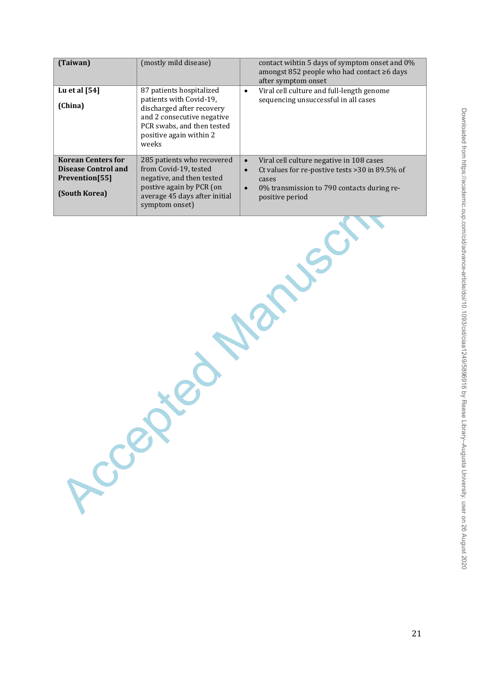| (Taiwan)                                                                                   | (mostly mild disease)                                                                                                                                                            | contact wihtin 5 days of symptom onset and 0%<br>amongst 852 people who had contact ≥6 days<br>after symptom onset                                                                                           |  |  |
|--------------------------------------------------------------------------------------------|----------------------------------------------------------------------------------------------------------------------------------------------------------------------------------|--------------------------------------------------------------------------------------------------------------------------------------------------------------------------------------------------------------|--|--|
| Lu et al [54]<br>(China)                                                                   | 87 patients hospitalized<br>patients with Covid-19,<br>discharged after recovery<br>and 2 consecutive negative<br>PCR swabs, and then tested<br>positive again within 2<br>weeks | Viral cell culture and full-length genome<br>$\bullet$<br>sequencing unsuccessful in all cases                                                                                                               |  |  |
| <b>Korean Centers for</b><br><b>Disease Control and</b><br>Prevention[55]<br>(South Korea) | 285 patients who recovered<br>from Covid-19, tested<br>negative, and then tested<br>postive again by PCR (on<br>average 45 days after initial<br>symptom onset)                  | Viral cell culture negative in 108 cases<br>$\bullet$<br>Ct values for re-postive tests > 30 in 89.5% of<br>$\bullet$<br>cases<br>0% transmission to 790 contacts during re-<br>$\bullet$<br>positive period |  |  |
| Lecel                                                                                      |                                                                                                                                                                                  |                                                                                                                                                                                                              |  |  |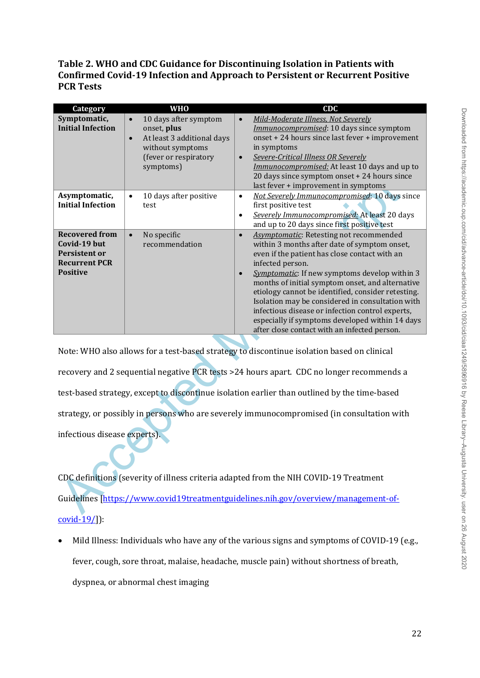# **Table 2. WHO and CDC Guidance for Discontinuing Isolation in Patients with Confirmed Covid-19 Infection and Approach to Persistent or Recurrent Positive PCR Tests**

| Category                                                                                                 | <b>WHO</b>                                                                                                                                             | <b>CDC</b>                                                                                                                                                                                                                                                                                                                                                                                                                                                                                                                                                                 |  |  |
|----------------------------------------------------------------------------------------------------------|--------------------------------------------------------------------------------------------------------------------------------------------------------|----------------------------------------------------------------------------------------------------------------------------------------------------------------------------------------------------------------------------------------------------------------------------------------------------------------------------------------------------------------------------------------------------------------------------------------------------------------------------------------------------------------------------------------------------------------------------|--|--|
| Symptomatic,<br><b>Initial Infection</b>                                                                 | 10 days after symptom<br>$\bullet$<br>onset, plus<br>At least 3 additional days<br>$\bullet$<br>without symptoms<br>(fever or respiratory<br>symptoms) | Mild-Moderate Illness, Not Severely<br>$\bullet$<br>Immunocompromised: 10 days since symptom<br>onset + 24 hours since last fever + improvement<br>in symptoms<br>Severe-Critical Illness OR Severely<br>$\bullet$<br>Immunocompromised: At least 10 days and up to<br>20 days since symptom onset + 24 hours since<br>last fever + improvement in symptoms                                                                                                                                                                                                                |  |  |
| Asymptomatic,<br><b>Initial Infection</b>                                                                | 10 days after positive<br>$\bullet$<br>test                                                                                                            | Not Severely Immunocompromised: 10 days since<br>$\bullet$<br>first positive test<br>Severely Immunocompromised: At least 20 days<br>$\bullet$<br>and up to 20 days since first positive test                                                                                                                                                                                                                                                                                                                                                                              |  |  |
| <b>Recovered from</b><br>Covid-19 but<br><b>Persistent or</b><br><b>Recurrent PCR</b><br><b>Positive</b> | No specific<br>recommendation                                                                                                                          | <b>Asymptomatic:</b> Retesting not recommended<br>$\bullet$<br>within 3 months after date of symptom onset,<br>even if the patient has close contact with an<br>infected person.<br><b>Symptomatic:</b> If new symptoms develop within 3<br>$\bullet$<br>months of initial symptom onset, and alternative<br>etiology cannot be identified, consider retesting.<br>Isolation may be considered in consultation with<br>infectious disease or infection control experts,<br>especially if symptoms developed within 14 days<br>after close contact with an infected person. |  |  |
| Note: WHO also allows for a test-based strategy to discontinue isolation based on clinical               |                                                                                                                                                        |                                                                                                                                                                                                                                                                                                                                                                                                                                                                                                                                                                            |  |  |
| recovery and 2 sequential negative PCR tests >24 hours apart. CDC no longer recommends a                 |                                                                                                                                                        |                                                                                                                                                                                                                                                                                                                                                                                                                                                                                                                                                                            |  |  |
| test-based strategy, except to discontinue isolation earlier than outlined by the time-based             |                                                                                                                                                        |                                                                                                                                                                                                                                                                                                                                                                                                                                                                                                                                                                            |  |  |
| strategy, or possibly in persons who are severely immunocompromised (in consultation with                |                                                                                                                                                        |                                                                                                                                                                                                                                                                                                                                                                                                                                                                                                                                                                            |  |  |
| infectious disease experts).                                                                             |                                                                                                                                                        |                                                                                                                                                                                                                                                                                                                                                                                                                                                                                                                                                                            |  |  |
| CDC definitions (severity of illness criteria adapted from the NIH COVID-19 Treatment                    |                                                                                                                                                        |                                                                                                                                                                                                                                                                                                                                                                                                                                                                                                                                                                            |  |  |
| Guidelines [https://www.covid19treatmentguidelines.nih.gov/overview/management-of-                       |                                                                                                                                                        |                                                                                                                                                                                                                                                                                                                                                                                                                                                                                                                                                                            |  |  |

CDC definitions (severity of illness criteria adapted from the NIH COVID-19 Treatment Guidelines [https://www.covid19treatmentguidelines.nih.gov/overview/management-of[covid-19/\]](https://www.covid19treatmentguidelines.nih.gov/overview/management-of-covid-19/)):

 Mild Illness: Individuals who have any of the various signs and symptoms of COVID-19 (e.g., fever, cough, sore throat, malaise, headache, muscle pain) without shortness of breath, dyspnea, or abnormal chest imaging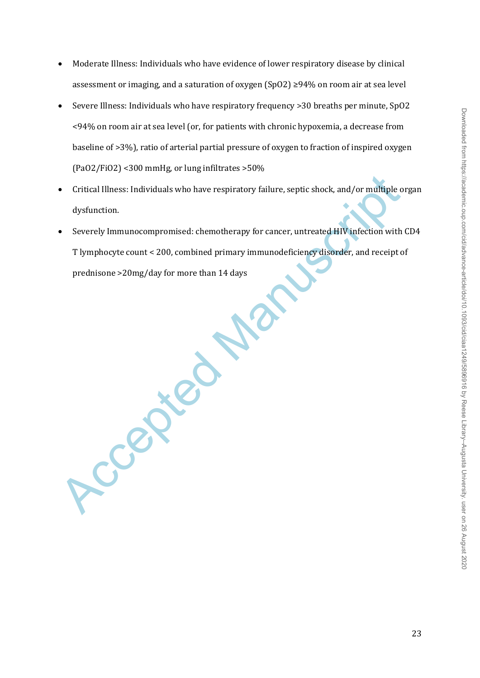- Moderate Illness: Individuals who have evidence of lower respiratory disease by clinical assessment or imaging, and a saturation of oxygen (SpO2) ≥94% on room air at sea level
- Severe Illness: Individuals who have respiratory frequency >30 breaths per minute, SpO2 <94% on room air at sea level (or, for patients with chronic hypoxemia, a decrease from baseline of >3%), ratio of arterial partial pressure of oxygen to fraction of inspired oxygen (PaO2/FiO2) <300 mmHg, or lung infiltrates >50%
- Critical Illness: Individuals who have respiratory failure, septic shock, and/or multiple organ dysfunction.
- Critical Illness: Individuals who have respiratory failure, septic shock, and/or multiple o<br>dysfunction.<br>
 Severely Immunocompromised: chemotherapy for cancer, untreated HIV infection with<br>
T lymphocyte count < 200, com Severely Immunocompromised: chemotherapy for cancer, untreated HIV infection with CD4 T lymphocyte count < 200, combined primary immunodeficiency disorder, and receipt of prednisone >20mg/day for more than 14 days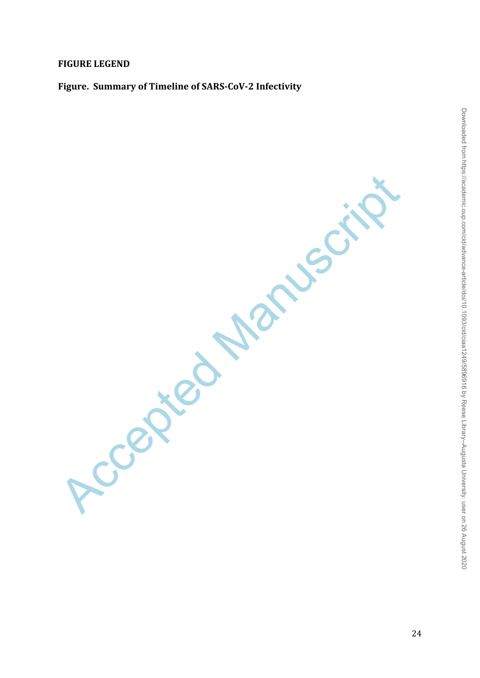# **FIGURE LEGEND**

# **Figure. Summary of Timeline of SARS-CoV-2 Infectivity**

Ccepted Manuscript